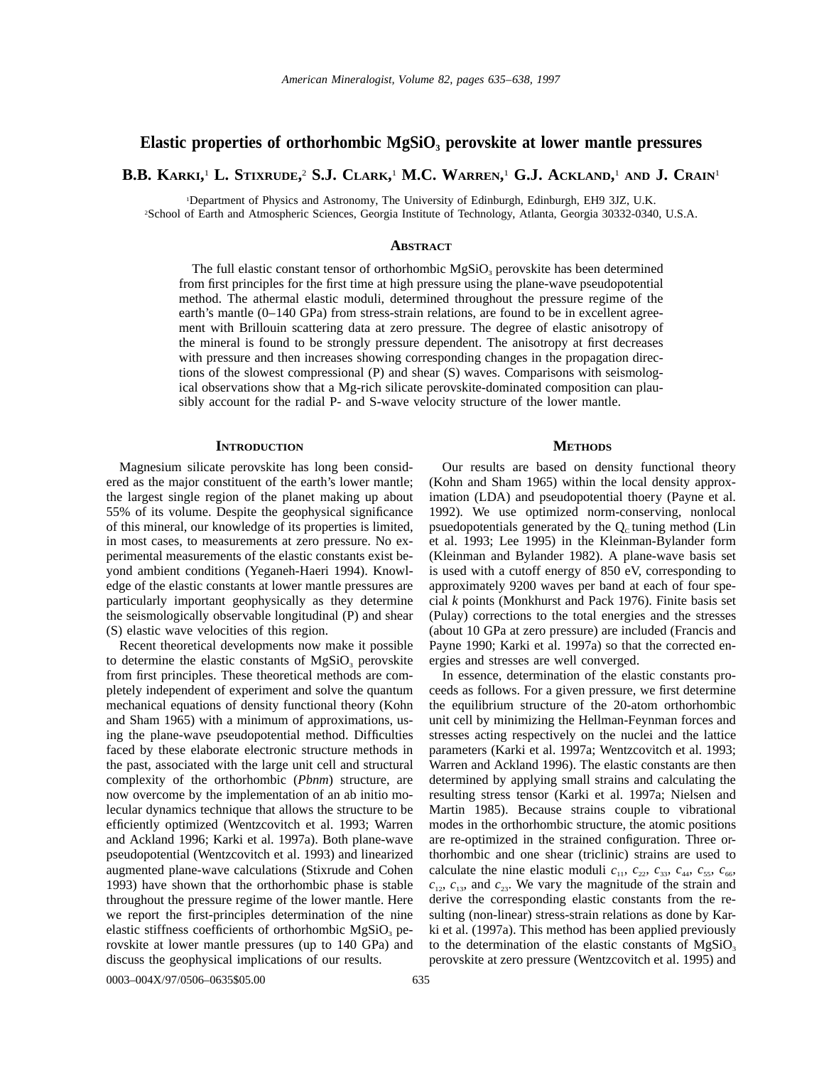## **Elastic properties of orthorhombic MgSiO3 perovskite at lower mantle pressures**

# **B.B. KARKI,** <sup>1</sup> **L. STIXRUDE,** <sup>2</sup> **S.J. CLARK,** <sup>1</sup> **M.C. WARREN,** <sup>1</sup> **G.J. ACKLAND,** <sup>1</sup> **AND J. CRAIN**<sup>1</sup>

1 Department of Physics and Astronomy, The University of Edinburgh, Edinburgh, EH9 3JZ, U.K. 2 School of Earth and Atmospheric Sciences, Georgia Institute of Technology, Atlanta, Georgia 30332-0340, U.S.A.

### **ABSTRACT**

The full elastic constant tensor of orthorhombic  $MgSiO<sub>3</sub>$  perovskite has been determined from first principles for the first time at high pressure using the plane-wave pseudopotential method. The athermal elastic moduli, determined throughout the pressure regime of the earth's mantle (0–140 GPa) from stress-strain relations, are found to be in excellent agreement with Brillouin scattering data at zero pressure. The degree of elastic anisotropy of the mineral is found to be strongly pressure dependent. The anisotropy at first decreases with pressure and then increases showing corresponding changes in the propagation directions of the slowest compressional (P) and shear (S) waves. Comparisons with seismological observations show that a Mg-rich silicate perovskite-dominated composition can plausibly account for the radial P- and S-wave velocity structure of the lower mantle.

#### **INTRODUCTION**

Magnesium silicate perovskite has long been considered as the major constituent of the earth's lower mantle; the largest single region of the planet making up about 55% of its volume. Despite the geophysical significance of this mineral, our knowledge of its properties is limited, in most cases, to measurements at zero pressure. No experimental measurements of the elastic constants exist beyond ambient conditions (Yeganeh-Haeri 1994). Knowledge of the elastic constants at lower mantle pressures are particularly important geophysically as they determine the seismologically observable longitudinal (P) and shear (S) elastic wave velocities of this region.

Recent theoretical developments now make it possible to determine the elastic constants of  $MgSiO<sub>3</sub>$  perovskite from first principles. These theoretical methods are completely independent of experiment and solve the quantum mechanical equations of density functional theory (Kohn and Sham 1965) with a minimum of approximations, using the plane-wave pseudopotential method. Difficulties faced by these elaborate electronic structure methods in the past, associated with the large unit cell and structural complexity of the orthorhombic (*Pbnm*) structure, are now overcome by the implementation of an ab initio molecular dynamics technique that allows the structure to be efficiently optimized (Wentzcovitch et al. 1993; Warren and Ackland 1996; Karki et al. 1997a). Both plane-wave pseudopotential (Wentzcovitch et al. 1993) and linearized augmented plane-wave calculations (Stixrude and Cohen 1993) have shown that the orthorhombic phase is stable throughout the pressure regime of the lower mantle. Here we report the first-principles determination of the nine elastic stiffness coefficients of orthorhombic  $MgSiO<sub>3</sub>$  perovskite at lower mantle pressures (up to 140 GPa) and discuss the geophysical implications of our results.

(Kohn and Sham 1965) within the local density approximation (LDA) and pseudopotential thoery (Payne et al. 1992). We use optimized norm-conserving, nonlocal psuedopotentials generated by the  $Q_c$  tuning method (Lin et al. 1993; Lee 1995) in the Kleinman-Bylander form (Kleinman and Bylander 1982). A plane-wave basis set is used with a cutoff energy of 850 eV, corresponding to approximately 9200 waves per band at each of four special *k* points (Monkhurst and Pack 1976). Finite basis set (Pulay) corrections to the total energies and the stresses (about 10 GPa at zero pressure) are included (Francis and Payne 1990; Karki et al. 1997a) so that the corrected energies and stresses are well converged.

**METHODS** Our results are based on density functional theory

In essence, determination of the elastic constants proceeds as follows. For a given pressure, we first determine the equilibrium structure of the 20-atom orthorhombic unit cell by minimizing the Hellman-Feynman forces and stresses acting respectively on the nuclei and the lattice parameters (Karki et al. 1997a; Wentzcovitch et al. 1993; Warren and Ackland 1996). The elastic constants are then determined by applying small strains and calculating the resulting stress tensor (Karki et al. 1997a; Nielsen and Martin 1985). Because strains couple to vibrational modes in the orthorhombic structure, the atomic positions are re-optimized in the strained configuration. Three orthorhombic and one shear (triclinic) strains are used to calculate the nine elastic moduli  $c_{11}$ ,  $c_{22}$ ,  $c_{33}$ ,  $c_{44}$ ,  $c_{55}$ ,  $c_{66}$ ,  $c_{12}$ ,  $c_{13}$ , and  $c_{23}$ . We vary the magnitude of the strain and derive the corresponding elastic constants from the resulting (non-linear) stress-strain relations as done by Karki et al. (1997a). This method has been applied previously to the determination of the elastic constants of  $MgSiO<sub>3</sub>$ perovskite at zero pressure (Wentzcovitch et al. 1995) and

0003-004X/97/0506-0635\$05.00 635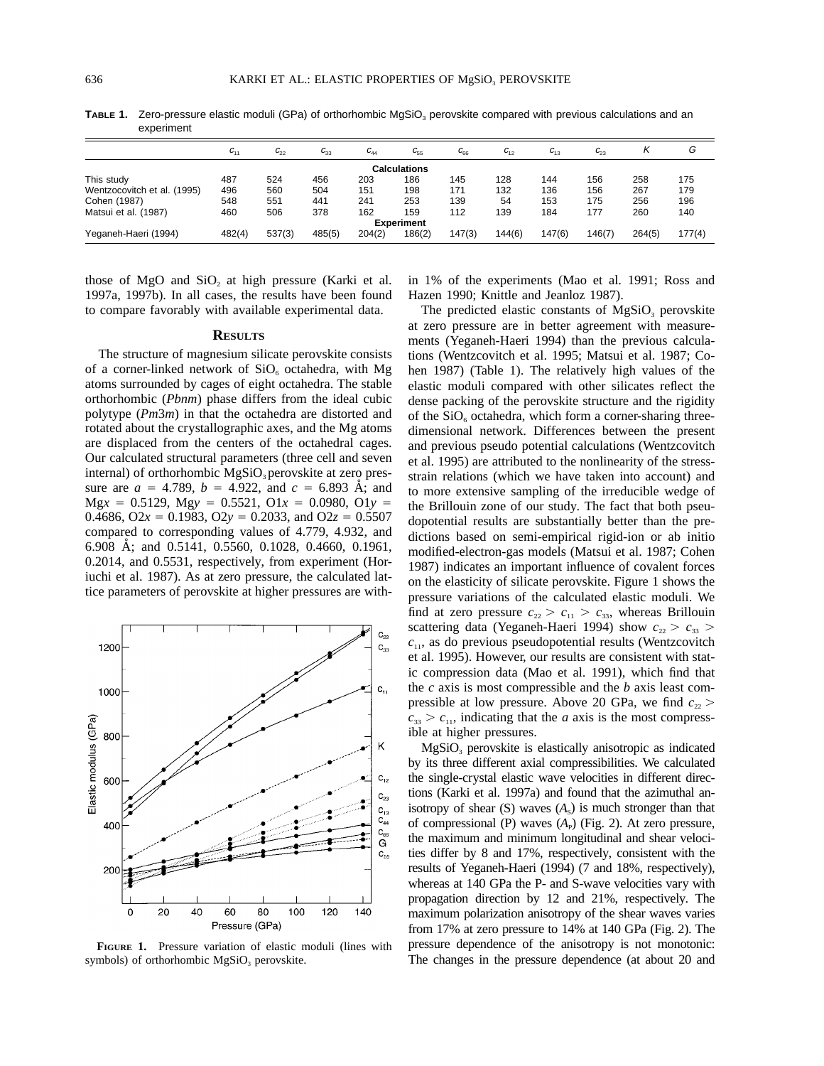| <b>CYNCHILLELIL</b>         |          |          |                    |                    |                     |          |          |           |          |        |        |
|-----------------------------|----------|----------|--------------------|--------------------|---------------------|----------|----------|-----------|----------|--------|--------|
|                             | $U_{11}$ | $C_{22}$ | $\sim$<br>$U_{33}$ | $\sim$<br>$C_{44}$ | $C_{55}$            | $U_{66}$ | $C_{12}$ | $C_{1,3}$ | $C_{23}$ |        | G      |
|                             |          |          |                    |                    | <b>Calculations</b> |          |          |           |          |        |        |
| This study                  | 487      | 524      | 456                | 203                | 186                 | 145      | 128      | 144       | 156      | 258    | 175    |
| Wentzocovitch et al. (1995) | 496      | 560      | 504                | 151                | 198                 | 171      | 132      | 136       | 156      | 267    | 179    |
| Cohen (1987)                | 548      | 551      | 441                | 241                | 253                 | 139      | 54       | 153       | 175      | 256    | 196    |
| Matsui et al. (1987)        | 460      | 506      | 378                | 162                | 159                 | 112      | 139      | 184       | 177      | 260    | 140    |
|                             |          |          |                    |                    | <b>Experiment</b>   |          |          |           |          |        |        |
| Yeganeh-Haeri (1994)        | 482(4)   | 537(3)   | 485(5)             | 204(2)             | 186(2)              | 147(3)   | 144(6)   | 147(6)    | 146(7)   | 264(5) | 177(4) |

**TABLE 1.** Zero-pressure elastic moduli (GPa) of orthorhombic MgSiO<sub>3</sub> perovskite compared with previous calculations and an experiment

those of  $MgO$  and  $SiO<sub>2</sub>$  at high pressure (Karki et al. 1997a, 1997b). In all cases, the results have been found to compare favorably with available experimental data.

#### **RESULTS**

The structure of magnesium silicate perovskite consists of a corner-linked network of  $SiO<sub>6</sub>$  octahedra, with Mg atoms surrounded by cages of eight octahedra. The stable orthorhombic (*Pbnm*) phase differs from the ideal cubic polytype (*Pm*3*m*) in that the octahedra are distorted and rotated about the crystallographic axes, and the Mg atoms are displaced from the centers of the octahedral cages. Our calculated structural parameters (three cell and seven internal) of orthorhombic  $MgSiO<sub>3</sub>$  perovskite at zero pressure are  $a = 4.789$ ,  $b = 4.922$ , and  $c = 6.893$  Å; and  $Mgx = 0.5129$ ,  $Mgy = 0.5521$ ,  $O1x = 0.0980$ ,  $O1y =$ 0.4686, O2 $x = 0.1983$ , O2 $y = 0.2033$ , and O2 $z = 0.5507$ compared to corresponding values of 4.779, 4.932, and 6.908 Å; and 0.5141, 0.5560, 0.1028, 0.4660, 0.1961, 0.2014, and 0.5531, respectively, from experiment (Horiuchi et al. 1987). As at zero pressure, the calculated lattice parameters of perovskite at higher pressures are with-



**FIGURE 1.** Pressure variation of elastic moduli (lines with symbols) of orthorhombic  $MgSiO<sub>3</sub>$  perovskite.

in 1% of the experiments (Mao et al. 1991; Ross and Hazen 1990; Knittle and Jeanloz 1987).

The predicted elastic constants of  $MgSiO<sub>3</sub>$  perovskite at zero pressure are in better agreement with measurements (Yeganeh-Haeri 1994) than the previous calculations (Wentzcovitch et al. 1995; Matsui et al. 1987; Cohen 1987) (Table 1). The relatively high values of the elastic moduli compared with other silicates reflect the dense packing of the perovskite structure and the rigidity of the  $SiO<sub>6</sub>$  octahedra, which form a corner-sharing threedimensional network. Differences between the present and previous pseudo potential calculations (Wentzcovitch et al. 1995) are attributed to the nonlinearity of the stressstrain relations (which we have taken into account) and to more extensive sampling of the irreducible wedge of the Brillouin zone of our study. The fact that both pseudopotential results are substantially better than the predictions based on semi-empirical rigid-ion or ab initio modified-electron-gas models (Matsui et al. 1987; Cohen 1987) indicates an important influence of covalent forces on the elasticity of silicate perovskite. Figure 1 shows the pressure variations of the calculated elastic moduli. We find at zero pressure  $c_{22} > c_{11} > c_{33}$ , whereas Brillouin scattering data (Yeganeh-Haeri 1994) show  $c_{22} > c_{33}$  $c_{11}$ , as do previous pseudopotential results (Wentzcovitch et al. 1995). However, our results are consistent with static compression data (Mao et al. 1991), which find that the *c* axis is most compressible and the *b* axis least compressible at low pressure. Above 20 GPa, we find  $c_{22}$  >  $c_{33} > c_{11}$ , indicating that the *a* axis is the most compressible at higher pressures.

 $MgSiO<sub>3</sub>$  perovskite is elastically anisotropic as indicated by its three different axial compressibilities. We calculated the single-crystal elastic wave velocities in different directions (Karki et al. 1997a) and found that the azimuthal anisotropy of shear  $(S)$  waves  $(A_s)$  is much stronger than that of compressional (P) waves  $(A<sub>p</sub>)$  (Fig. 2). At zero pressure, the maximum and minimum longitudinal and shear velocities differ by 8 and 17%, respectively, consistent with the results of Yeganeh-Haeri (1994) (7 and 18%, respectively), whereas at 140 GPa the P- and S-wave velocities vary with propagation direction by 12 and 21%, respectively. The maximum polarization anisotropy of the shear waves varies from 17% at zero pressure to 14% at 140 GPa (Fig. 2). The pressure dependence of the anisotropy is not monotonic: The changes in the pressure dependence (at about 20 and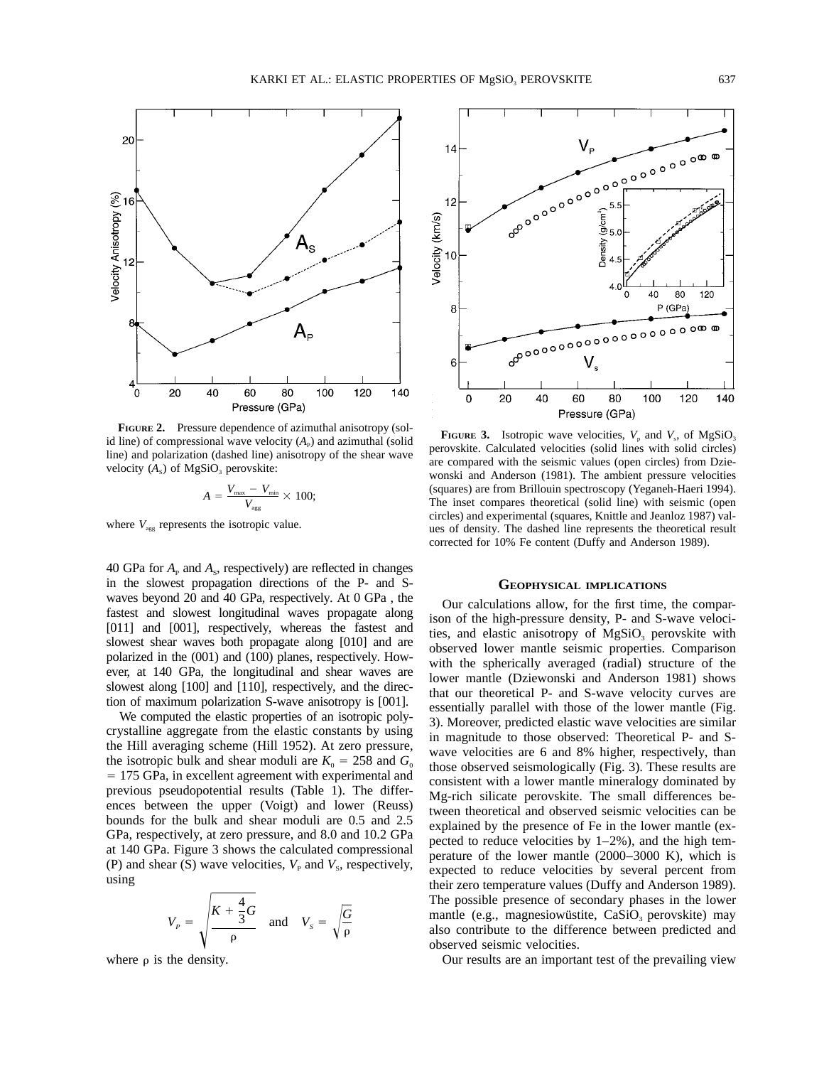

**FIGURE 2.** Pressure dependence of azimuthal anisotropy (solid line) of compressional wave velocity  $(A<sub>P</sub>)$  and azimuthal (solid line) and polarization (dashed line) anisotropy of the shear wave velocity  $(A_s)$  of MgSiO<sub>3</sub> perovskite:

$$
A = \frac{V_{\text{max}} - V_{\text{min}}}{V_{\text{agg}}} \times 100;
$$

where  $V_{\text{agg}}$  represents the isotropic value.

40 GPa for  $A<sub>P</sub>$  and  $A<sub>s</sub>$ , respectively) are reflected in changes in the slowest propagation directions of the P- and Swaves beyond 20 and 40 GPa, respectively. At 0 GPa , the fastest and slowest longitudinal waves propagate along [011] and [001], respectively, whereas the fastest and slowest shear waves both propagate along [010] and are polarized in the (001) and (100) planes, respectively. However, at 140 GPa, the longitudinal and shear waves are slowest along [100] and [110], respectively, and the direction of maximum polarization S-wave anisotropy is [001].

We computed the elastic properties of an isotropic polycrystalline aggregate from the elastic constants by using the Hill averaging scheme (Hill 1952). At zero pressure, the isotropic bulk and shear moduli are  $K_0 = 258$  and  $G_0$ = 175 GPa, in excellent agreement with experimental and previous pseudopotential results (Table 1). The differences between the upper (Voigt) and lower (Reuss) bounds for the bulk and shear moduli are 0.5 and 2.5 GPa, respectively, at zero pressure, and 8.0 and 10.2 GPa at 140 GPa. Figure 3 shows the calculated compressional (P) and shear (S) wave velocities,  $V_{\rm P}$  and  $V_{\rm S}$ , respectively, using

$$
V_{P} = \sqrt{\frac{K + \frac{4}{3}G}{\rho}} \quad \text{and} \quad V_{s} = \sqrt{\frac{G}{\rho}}
$$

where  $\rho$  is the density.



**FIGURE** 3. Isotropic wave velocities,  $V_p$  and  $V_s$ , of MgSiO<sub>3</sub> perovskite. Calculated velocities (solid lines with solid circles) are compared with the seismic values (open circles) from Dziewonski and Anderson (1981). The ambient pressure velocities (squares) are from Brillouin spectroscopy (Yeganeh-Haeri 1994). The inset compares theoretical (solid line) with seismic (open circles) and experimental (squares, Knittle and Jeanloz 1987) values of density. The dashed line represents the theoretical result corrected for 10% Fe content (Duffy and Anderson 1989).

#### **GEOPHYSICAL IMPLICATIONS**

Our calculations allow, for the first time, the comparison of the high-pressure density, P- and S-wave velocities, and elastic anisotropy of  $MgSiO<sub>3</sub>$  perovskite with observed lower mantle seismic properties. Comparison with the spherically averaged (radial) structure of the lower mantle (Dziewonski and Anderson 1981) shows that our theoretical P- and S-wave velocity curves are essentially parallel with those of the lower mantle (Fig. 3). Moreover, predicted elastic wave velocities are similar in magnitude to those observed: Theoretical P- and Swave velocities are 6 and 8% higher, respectively, than those observed seismologically (Fig. 3). These results are consistent with a lower mantle mineralogy dominated by Mg-rich silicate perovskite. The small differences between theoretical and observed seismic velocities can be explained by the presence of Fe in the lower mantle (expected to reduce velocities by  $1-2\%$ ), and the high temperature of the lower mantle (2000–3000 K), which is expected to reduce velocities by several percent from their zero temperature values (Duffy and Anderson 1989). The possible presence of secondary phases in the lower mantle (e.g., magnesiowustite,  $CaSiO<sub>3</sub>$  perovskite) may also contribute to the difference between predicted and observed seismic velocities.

Our results are an important test of the prevailing view